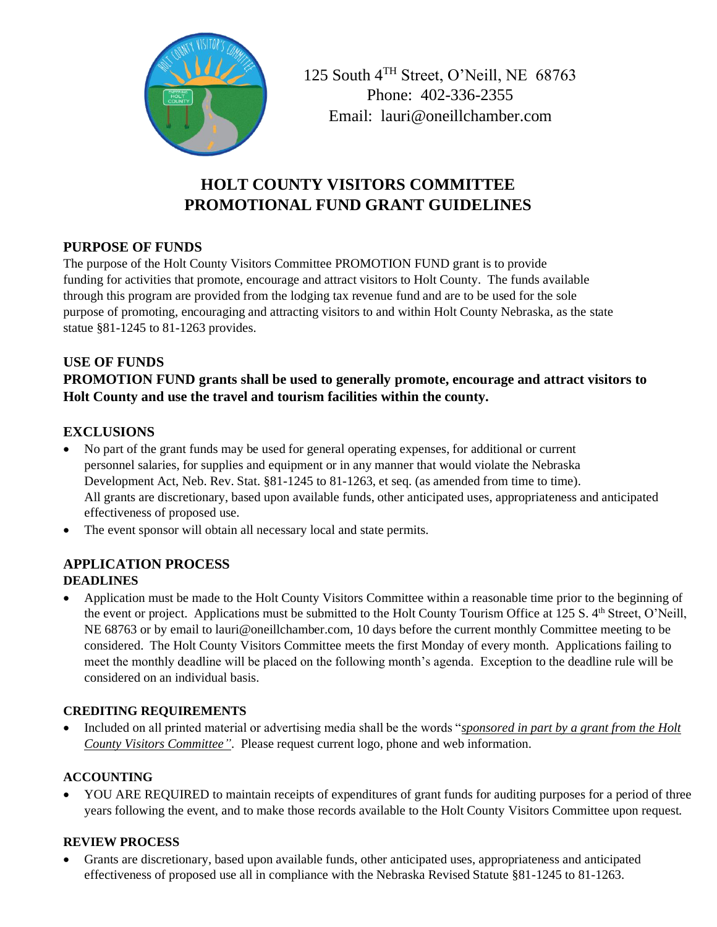

125 South 4TH Street, O'Neill, NE 68763 Phone: 402-336-2355 Email: lauri@oneillchamber.com

# **HOLT COUNTY VISITORS COMMITTEE PROMOTIONAL FUND GRANT GUIDELINES**

### **PURPOSE OF FUNDS**

The purpose of the Holt County Visitors Committee PROMOTION FUND grant is to provide funding for activities that promote, encourage and attract visitors to Holt County. The funds available through this program are provided from the lodging tax revenue fund and are to be used for the sole purpose of promoting, encouraging and attracting visitors to and within Holt County Nebraska, as the state statue §81-1245 to 81-1263 provides.

# **USE OF FUNDS**

# **PROMOTION FUND grants shall be used to generally promote, encourage and attract visitors to Holt County and use the travel and tourism facilities within the county.**

# **EXCLUSIONS**

- No part of the grant funds may be used for general operating expenses, for additional or current personnel salaries, for supplies and equipment or in any manner that would violate the Nebraska Development Act, Neb. Rev. Stat. §81-1245 to 81-1263, et seq. (as amended from time to time). All grants are discretionary, based upon available funds, other anticipated uses, appropriateness and anticipated effectiveness of proposed use.
- The event sponsor will obtain all necessary local and state permits.

# **APPLICATION PROCESS**

#### **DEADLINES**

• Application must be made to the Holt County Visitors Committee within a reasonable time prior to the beginning of the event or project. Applications must be submitted to the Holt County Tourism Office at 125 S. 4<sup>th</sup> Street, O'Neill, NE 68763 or by email to lauri@oneillchamber.com, 10 days before the current monthly Committee meeting to be considered. The Holt County Visitors Committee meets the first Monday of every month. Applications failing to meet the monthly deadline will be placed on the following month's agenda. Exception to the deadline rule will be considered on an individual basis.

#### **CREDITING REQUIREMENTS**

• Included on all printed material or advertising media shall be the words "*sponsored in part by a grant from the Holt County Visitors Committee"*. Please request current logo, phone and web information.

#### **ACCOUNTING**

• YOU ARE REQUIRED to maintain receipts of expenditures of grant funds for auditing purposes for a period of three years following the event, and to make those records available to the Holt County Visitors Committee upon request.

#### **REVIEW PROCESS**

• Grants are discretionary, based upon available funds, other anticipated uses, appropriateness and anticipated effectiveness of proposed use all in compliance with the Nebraska Revised Statute §81-1245 to 81-1263.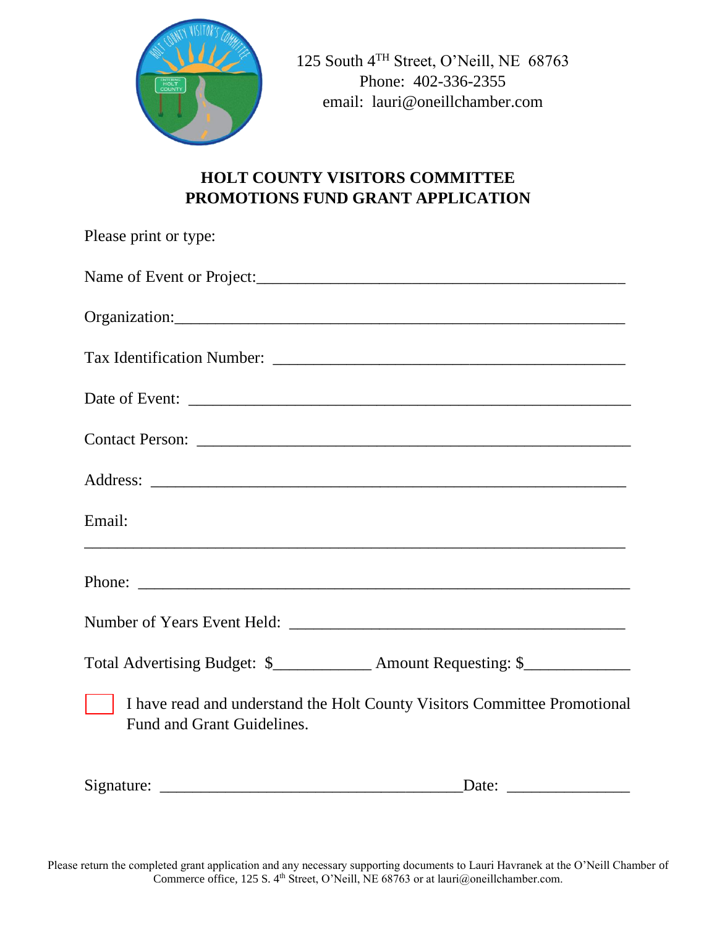

125 South 4TH Street, O'Neill, NE 68763 Phone: 402-336-2355 email: lauri@oneillchamber.com

# **HOLT COUNTY VISITORS COMMITTEE PROMOTIONS FUND GRANT APPLICATION**

| Please print or type:                                                                                   |
|---------------------------------------------------------------------------------------------------------|
|                                                                                                         |
|                                                                                                         |
|                                                                                                         |
|                                                                                                         |
|                                                                                                         |
|                                                                                                         |
| Email:                                                                                                  |
|                                                                                                         |
|                                                                                                         |
| Total Advertising Budget: \$_____________ Amount Requesting: \$_____________                            |
| I have read and understand the Holt County Visitors Committee Promotional<br>Fund and Grant Guidelines. |
| Date: $\frac{1}{\sqrt{1-\frac{1}{2}} \cdot \frac{1}{2}}$                                                |

Please return the completed grant application and any necessary supporting documents to Lauri Havranek at the O'Neill Chamber of Commerce office, 125 S. 4<sup>th</sup> Street, O'Neill, NE 68763 or at lauri@oneillchamber.com.